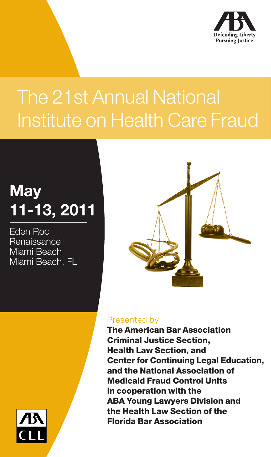

## The 21st Annual National Institute on Health Care Fraud

## **May 11-13, 2011**

Eden Roc **Renaissance** Miami Beach Miami Beach, FL



#### Presented by

The American Bar Association Criminal Justice Section, Health Law Section, and Center for Continuing Legal Education, and the National Association of Medicaid Fraud Control Units in cooperation with the ABA Young Lawyers Division and the Health Law Section of the Florida Bar Association

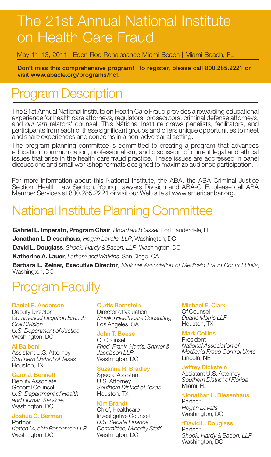## The 21st Annual National Institute on Health Care Fraud

May 11-13, 2011 | Eden Roc Renaissance Miami Beach | Miami Beach, FL

Don't miss this comprehensive program! To register, please call 800.285.2221 or visit www.abacle.org/programs/hcf.

## Program Description

The 21st Annual National Institute on Health Care Fraud provides a rewarding educational experience for health care attorneys, regulators, prosecutors, criminal defense attorneys, and *qui tam* relators' counsel. This National Institute draws panelists, facilitators, and participants from each of these significant groups and offers unique opportunities to meet and share experiences and concerns in a non-adversarial setting.

The program planning committee is committed to creating a program that advances education, communication, professionalism, and discussion of current legal and ethical issues that arise in the health care fraud practice. These issues are addressed in panel discussions and small workshop formats designed to maximize audience participation.

For more information about this National Institute, the ABA, the ABA Criminal Justice Section, Health Law Section, Young Lawyers Division and ABA-CLE, please call ABA Member Services at 800.285.2221 or visit our Web site at www.americanbar.org.

## National Institute Planning Committee

**Gabriel L. Imperato, Program Chair**, *Broad and Cassel*, Fort Lauderdale, FL

**Jonathan L. Diesenhaus**, *Hogan Lovells, LLP*, Washington, DC

**David L. Douglass**, *Shook, Hardy & Bacon, LLP*, Washington, DC

**Katherine A. Lauer**, *Latham and Watkins*, San Diego, CA

**Barbara L. Zelner, Executive Director**, *National Association of Medicaid Fraud Control Units*, Washington, DC

## **rogram Faculty**

#### Daniel R. Anderson

Deputy Director *Commerical Litigation Branch Civil Division U.S. Department of Justice* Washington, DC

#### Al Balboni

Assistant U.S. Attorney *Southern District of Texas* Houston, TX

#### Carol J. Bennett

Deputy Associate General Counsel *U.S. Department of Health and Human Services* Washington, DC

#### Joshua G. Berman

Partner *Katten Muchin Rosenman LLP* Washington, DC

#### Curtis Bernstein

Director of Valuation *Sinaiko Healthcare Consulting* Los Angeles, CA

#### John T. Boese

Of Counsel *Fried, Frank, Harris, Shriver & Jacobson LLP* Washington, DC

#### Suzanne R. Bradley

Special Assistant U.S. Attorney *Southern District of Texas* Houston, TX

#### Kim Brandt

Chief, Healthcare Investigative Counsel *U.S. Senate Finance Committee, Minority Staff* Washington, DC

#### Michael E. Clark

Of Counsel *Duane Morris LLP* Houston, TX

#### Mark Collins

President *National Association of Medicaid Fraud Control Units* Lincoln, NE

#### Jeffrey Dickstein

Assistant U.S. Attorney *Southern District of Florida* Miami, FL

#### \*Jonathan L. Diesenhaus

Partner *Hogan Lovells*  Washington, DC

#### \*David L. Douglass

Partner *Shook, Hardy & Bacon, LLP* Washington, DC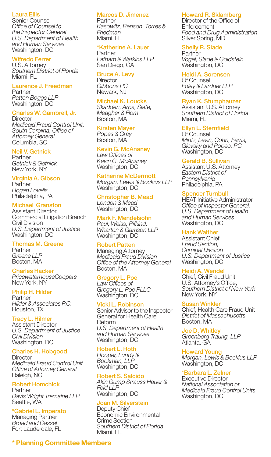#### Laura Ellis

Senior Counsel *Office of Counsel to the Inspector General U.S. Department of Health and Human Services* Washington, DC

#### Wifredo Ferrer

U.S. Attorney *Southern District of Florida* Miami, FL

#### Laurence J. Freedman Partner

*Patton Boggs LLP* Washington, DC

#### Charles W. Gambrell, Jr.

**Director** *Medicaid Fraud Control Unit, South Carolina, Office of Attorney General* Columbia, SC

#### Neil V. Getnick

Partner *Getnick & Getnick* New York, NY

#### Virginia A. Gibson

**Partner** *Hogan Lovells*  Philadelphia, PA

#### Michael Granston

Assistant Director, Commercial Litigation Branch Civil Division *U.S. Department of Justice* Washington, DC

#### Thomas M. Greene

Partner *Greene LLP* Boston, MA

#### Charles Hacker

*PricewaterhouseCoopers* New York, NY

#### Philip H. Hilder

Partner *Hilder & Associates P.C.* Houston, TX

#### Tracy L. Hilmer

Assistant Director *U.S. Department of Justice Civil Division* Washington, DC

#### Charles H. Hobgood

**Director** *Medicaid Fraud Control Unit Office of Attorney General* Raleigh, NC

#### Robert Homchick

Partner *Davis Wright Tremaine LLP* Seattle, WA

#### \*Gabriel L. Imperato

Managing Partner *Broad and Cassel* Fort Lauderdale, FL

#### Marcos D. Jimenez

Partner *Kasowitz, Benson, Torres & Friedman* Miami, FL

#### \*Katherine A. Lauer

**Partner** *Latham & Watkins LLP* San Diego, CA

#### Bruce A. Levy

**Director** *Gibbons PC* Newark, NJ

#### Michael K. Loucks

*Skadden, Arps, Slate, Meagher & Flom* Boston, MA

#### Kirsten Mayer

*Ropes & Gray* Boston, MA

#### Kevin G. McAnaney

*Law Offices of Kevin G. McAnaney* Washington, DC

#### Katherine McDermott

*Morgan, Lewis & Bockius LLP* Washington, DC

#### Christopher B. Mead *London & Mead* Washington, DC

Mark F. Mendelsohn *Paul, Weiss, Rifkind, Wharton & Garrison LLP* Washington, DC

#### Robert Patten

Managing Attorney *Medicaid Fraud Division Office of the Attorney General* Boston, MA

#### Gregory L. Poe

*Law Offices of Gregory L. Poe PLLC* Washington, DC

#### Vicki L. Robinson

Senior Advisor to the Inspector General for Health Care Reform *U.S. Department of Health and Human Services* Washington, DC

#### Robert L. Roth

*Hooper, Lundy & Bookman, LLP* Washington, DC

#### Robert S. Salcido

*Akin Gump Strauss Hauer & Feld LLP* Washington, DC

#### Joan M. Silverstein

Deputy Chief Economic Environmental Crime Section *Southern District of Florida* Miami, FL

#### Howard R. Sklamberg

Director of the Office of **Enforcement** *Food and Drug Administration* Silver Spring, MD

#### Shelly R. Slade

Partner *Vogel, Slade & Goldstein* Washington, DC

Heidi A. Sorensen Of Counsel *Foley & Lardner LLP* Washington, DC

#### Ryan K. Stumphauzer

Assistant U.S. Attorney *Southern District of Florida* Miami, FL

#### Ellyn L. Sternfield

Of Counsel *Mintz, Levin, Cohn, Ferris, Glovsky and Popeo, PC* Washington, DC

#### Gerald B. Sullivan

Assistant U.S. Attorney *Eastern District of Pennsylvania* Philadelphia, PA

#### Spencer Turnbull

HEAT Initiative Administrator *Office of Inspector General, U.S. Department of Health and Human Services* Washington, DC

#### Hank Walther

Assistant Chief *Fraud Section, Criminal Division U.S. Department of Justice* Washington, DC

#### Heidi A. Wendel

Chief, Civil Fraud Unit U.S. Attorney's Office, *Southern District of New York* New York, NY

#### usan Winkler

Chief, Health Care Fraud Unit *District of Massachusetts* Boston, MA

Joe D. Whitley *Greenberg Traurig, LLP* Atlanta, GA

Howard Young *Morgan, Lewis & Bockius LLP* Washington, DC

#### \*Barbara L. Zelner

Executive Director *National Association of Medicaid Fraud Control Units* Washington, DC

#### **\* Planning Committee Members**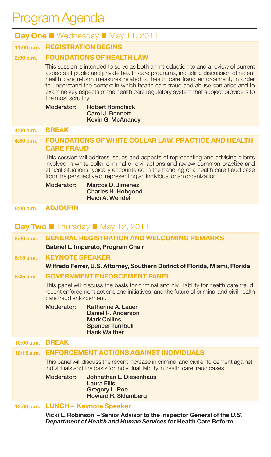## Program Agenda

| <b>Day One </b> Wednesday $\blacksquare$ May 11, 2011                                                                                                                                                                                                                                                                                                                                                                                                       |                                                                                                                                                                                                                                                                                                                                          |  |  |  |
|-------------------------------------------------------------------------------------------------------------------------------------------------------------------------------------------------------------------------------------------------------------------------------------------------------------------------------------------------------------------------------------------------------------------------------------------------------------|------------------------------------------------------------------------------------------------------------------------------------------------------------------------------------------------------------------------------------------------------------------------------------------------------------------------------------------|--|--|--|
|                                                                                                                                                                                                                                                                                                                                                                                                                                                             | 11:00 p.m. REGISTRATION BEGINS                                                                                                                                                                                                                                                                                                           |  |  |  |
| 2:00 p.m.                                                                                                                                                                                                                                                                                                                                                                                                                                                   | <b>FOUNDATIONS OF HEALTH LAW</b>                                                                                                                                                                                                                                                                                                         |  |  |  |
| This session is intended to serve as both an introduction to and a review of current<br>aspects of public and private health care programs, including discussion of recent<br>health care reform measures related to health care fraud enforcement, in order<br>to understand the context in which health care fraud and abuse can arise and to<br>examine key aspects of the health care regulatory system that subject providers to<br>the most scrutiny. |                                                                                                                                                                                                                                                                                                                                          |  |  |  |
|                                                                                                                                                                                                                                                                                                                                                                                                                                                             | Moderator:<br><b>Robert Homchick</b><br>Carol J. Bennett<br>Kevin G. McAnaney                                                                                                                                                                                                                                                            |  |  |  |
| 4:00 p.m.                                                                                                                                                                                                                                                                                                                                                                                                                                                   | <b>BREAK</b>                                                                                                                                                                                                                                                                                                                             |  |  |  |
| 4:30 p.m.                                                                                                                                                                                                                                                                                                                                                                                                                                                   | <b>FOUNDATIONS OF WHITE COLLAR LAW, PRACTICE AND HEALTH</b><br><b>CARE FRAUD</b>                                                                                                                                                                                                                                                         |  |  |  |
|                                                                                                                                                                                                                                                                                                                                                                                                                                                             | This session will address issues and aspects of representing and advising clients<br>involved in white collar criminal or civil actions and review common practice and<br>ethical situations typically encountered in the handling of a health care fraud case<br>from the perspective of representing an individual or an organization. |  |  |  |
|                                                                                                                                                                                                                                                                                                                                                                                                                                                             | Marcos D. Jimenez<br>Moderator:<br><b>Charles H. Hobgood</b><br>Heidi A. Wendel                                                                                                                                                                                                                                                          |  |  |  |
| 6:00 p.m.                                                                                                                                                                                                                                                                                                                                                                                                                                                   | <b>ADJOURN</b>                                                                                                                                                                                                                                                                                                                           |  |  |  |

#### **Day Two** Thursday May 12, 2011

|                                    | 8:00a.m.   | <b>GENERAL REGISTRATION AND WELCOMING REMARKS</b>                                                                                                                                                               |  |  |  |  |
|------------------------------------|------------|-----------------------------------------------------------------------------------------------------------------------------------------------------------------------------------------------------------------|--|--|--|--|
| Gabriel L. Imperato, Program Chair |            |                                                                                                                                                                                                                 |  |  |  |  |
|                                    | 8:15a.m.   | <b>KEYNOTE SPEAKER</b>                                                                                                                                                                                          |  |  |  |  |
|                                    |            | Wilfredo Ferrer, U.S. Attorney, Southern District of Florida, Miami, Florida                                                                                                                                    |  |  |  |  |
|                                    | 8:45a.m.   | <b>GOVERNMENT ENFORCEMENT PANEL</b>                                                                                                                                                                             |  |  |  |  |
|                                    |            | This panel will discuss the basis for criminal and civil liability for health care fraud,<br>recent enforcement actions and initiatives, and the future of criminal and civil health<br>care fraud enforcement. |  |  |  |  |
|                                    |            | Moderator:<br>Katherine A. Lauer<br>Daniel R. Anderson<br><b>Mark Collins</b><br><b>Spencer Turnbull</b><br><b>Hank Walther</b>                                                                                 |  |  |  |  |
|                                    | 10:00 a.m. | <b>BREAK</b>                                                                                                                                                                                                    |  |  |  |  |
|                                    |            | 10:15 a.m. ENFORCEMENT ACTIONS AGAINST INDIVIDUALS                                                                                                                                                              |  |  |  |  |
|                                    |            | This panel will discuss the recent increase in criminal and civil enforcement against<br>individuals and the basis for individual liability in health care fraud cases.                                         |  |  |  |  |
|                                    |            |                                                                                                                                                                                                                 |  |  |  |  |
|                                    |            | Moderator:<br>Johnathan L. Diesenhaus<br><b>Laura Ellis</b><br>Gregory L. Poe<br>Howard R. Sklamberg                                                                                                            |  |  |  |  |
|                                    |            | 12:00 p.m. LUNCH - Keynote Speaker                                                                                                                                                                              |  |  |  |  |

 **Vicki L. Robinson – Senior Advisor to the Inspector General of the** *U.S. Department of Health and Human Services* **for Health Care Reform**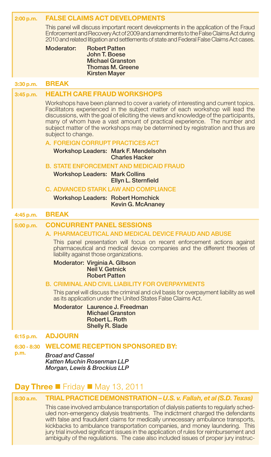| 2:00 p.m.             | <b>FALSE CLAIMS ACT DEVELOPMENTS</b>                                                                                                                                                                                                                                                                                                                                                                                                          |
|-----------------------|-----------------------------------------------------------------------------------------------------------------------------------------------------------------------------------------------------------------------------------------------------------------------------------------------------------------------------------------------------------------------------------------------------------------------------------------------|
|                       | This panel will discuss important recent developments in the application of the Fraud<br>Enforcement and Recovery Act of 2009 and amendments to the False Claims Act during<br>2010 and related litigation and settlements of state and Federal False Claims Act cases.                                                                                                                                                                       |
|                       | Moderator:<br><b>Robert Patten</b>                                                                                                                                                                                                                                                                                                                                                                                                            |
|                       | John T. Boese<br><b>Michael Granston</b>                                                                                                                                                                                                                                                                                                                                                                                                      |
|                       | <b>Thomas M. Greene</b><br><b>Kirsten Mayer</b>                                                                                                                                                                                                                                                                                                                                                                                               |
|                       | <b>BREAK</b>                                                                                                                                                                                                                                                                                                                                                                                                                                  |
| 3:30 p.m.             |                                                                                                                                                                                                                                                                                                                                                                                                                                               |
| 3:45 p.m.             | <b>HEALTH CARE FRAUD WORKSHOPS</b>                                                                                                                                                                                                                                                                                                                                                                                                            |
|                       | Workshops have been planned to cover a variety of interesting and current topics.<br>Facilitators experienced in the subject matter of each workshop will lead the<br>discussions, with the goal of eliciting the views and knowledge of the participants,<br>many of whom have a vast amount of practical experience. The number and<br>subject matter of the workshops may be determined by registration and thus are<br>subject to change. |
|                       | A. FOREIGN CORRUPT PRACTICES ACT                                                                                                                                                                                                                                                                                                                                                                                                              |
|                       | Workshop Leaders: Mark F. Mendelsohn<br><b>Charles Hacker</b>                                                                                                                                                                                                                                                                                                                                                                                 |
|                       | <b>B. STATE ENFORCEMENT AND MEDICAID FRAUD</b>                                                                                                                                                                                                                                                                                                                                                                                                |
|                       | <b>Workshop Leaders: Mark Collins</b><br>Ellyn L. Sternfield                                                                                                                                                                                                                                                                                                                                                                                  |
|                       | <b>C. ADVANCED STARK LAW AND COMPLIANCE</b>                                                                                                                                                                                                                                                                                                                                                                                                   |
|                       | <b>Workshop Leaders: Robert Homchick</b><br>Kevin G. McAnaney                                                                                                                                                                                                                                                                                                                                                                                 |
|                       |                                                                                                                                                                                                                                                                                                                                                                                                                                               |
| 4:45 p.m.             | <b>BREAK</b>                                                                                                                                                                                                                                                                                                                                                                                                                                  |
| 5:00 p.m.             | <b>CONCURRENT PANEL SESSIONS</b>                                                                                                                                                                                                                                                                                                                                                                                                              |
|                       | A. PHARMACEUTICAL AND MEDICAL DEVICE FRAUD AND ABUSE                                                                                                                                                                                                                                                                                                                                                                                          |
|                       | This panel presentation will focus on recent enforcement actions against<br>pharmaceutical and medical device companies and the different theories of<br>liability against those organizations.                                                                                                                                                                                                                                               |
|                       | Moderator: Virginia A. Glbson<br>Neil V. Getnick<br><b>Robert Patten</b>                                                                                                                                                                                                                                                                                                                                                                      |
|                       | <b>B. CRIMINAL AND CIVIL LIABILITY FOR OVERPAYMENTS</b>                                                                                                                                                                                                                                                                                                                                                                                       |
|                       | This panel will discuss the criminal and civil basis for overpayment liability as well<br>as its application under the United States False Claims Act.                                                                                                                                                                                                                                                                                        |
|                       | Moderator Laurence J. Freedman<br><b>Michael Granston</b><br>Robert L. Roth                                                                                                                                                                                                                                                                                                                                                                   |
|                       | Shelly R. Slade                                                                                                                                                                                                                                                                                                                                                                                                                               |
| 6:15 p.m.             | <b>ADJOURN</b>                                                                                                                                                                                                                                                                                                                                                                                                                                |
| $6:30 - 8:30$<br>p.m. | <b>WELCOME RECEPTION SPONSORED BY:</b><br><b>Broad and Cassel</b>                                                                                                                                                                                                                                                                                                                                                                             |
|                       | Katten Muchin Rosenman LLP<br>Morgan, Lewis & Brockius LLP                                                                                                                                                                                                                                                                                                                                                                                    |
|                       |                                                                                                                                                                                                                                                                                                                                                                                                                                               |
|                       | <b>Day Three </b> $\blacksquare$ Friday $\blacksquare$ May 13, 2011                                                                                                                                                                                                                                                                                                                                                                           |
| 8:30a.m.              | TRIAL PRACTICE DEMONSTRATION - U.S. v. Fallah, et al (S.D. Texas)                                                                                                                                                                                                                                                                                                                                                                             |

 This case involved ambulance transportation of dialysis patients to regularly scheduled non-emergency dialysis treatments. The indictment charged the defendants with false and fraudulent claims for medically unnecessary ambulance transports, kickbacks to ambulance transportation companies, and money laundering. This jury trial involved significant issues in the application of rules for reimbursement and ambiguity of the regulations. The case also included issues of proper jury instruc-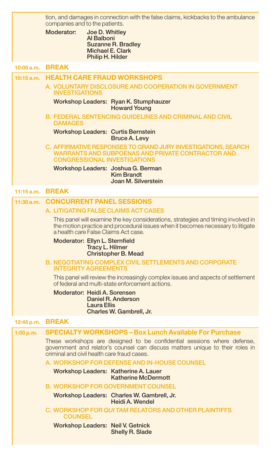|            | tion, and damages in connection with the false claims, kickbacks to the ambulance<br>companies and to the patients.<br>Moderator:<br>Joe D. Whitley<br>Al Balboni<br><b>Suzanne R. Bradley</b><br>Michael E. Clark<br>Philip H. Hilder |  |  |  |
|------------|----------------------------------------------------------------------------------------------------------------------------------------------------------------------------------------------------------------------------------------|--|--|--|
| 10:00 a.m. | <b>BREAK</b>                                                                                                                                                                                                                           |  |  |  |
| 10:15a.m.  | <b>HEALTH CARE FRAUD WORKSHOPS</b><br>A. VOLUNTARY DISCLOSURE AND COOPERATION IN GOVERNMENT<br><b>INVESTIGATIONS</b>                                                                                                                   |  |  |  |
|            | Workshop Leaders: Ryan K. Stumphauzer<br><b>Howard Young</b>                                                                                                                                                                           |  |  |  |
|            | <b>B. FEDERAL SENTENCING GUIDELINES AND CRIMINAL AND CIVIL</b><br><b>DAMAGES</b>                                                                                                                                                       |  |  |  |
|            | <b>Workshop Leaders: Curtis Bernstein</b><br><b>Bruce A. Levy</b>                                                                                                                                                                      |  |  |  |
|            | C. AFFIRMATIVE RESPONSES TO GRAND JURY INVESTIGATIONS, SEARCH<br><b>WARRANTS AND SUBPOENAS AND PRIVATE CONTRACTOR AND</b><br><b>CONGRESSIONAL INVESTIGATIONS</b>                                                                       |  |  |  |
|            | Workshop Leaders: Joshua G. Berman<br>Kim Brandt<br>Joan M. Silverstein                                                                                                                                                                |  |  |  |
|            | 11:15 a.m. BREAK                                                                                                                                                                                                                       |  |  |  |
| 11:30 a.m. | <b>CONCURRENT PANEL SESSIONS</b>                                                                                                                                                                                                       |  |  |  |
|            | A. LITIGATING FALSE CLAIMS ACT CASES                                                                                                                                                                                                   |  |  |  |
|            | This panel will examine the key considerations, strategies and timing involved in<br>the motion practice and procedural issues when it becomes necessary to litigate<br>a health care False Claims Act case.                           |  |  |  |
|            | Moderator: Ellyn L. Sternfield<br>Tracy L. Hilmer<br><b>Christopher B. Mead</b>                                                                                                                                                        |  |  |  |
|            | B. NEGOTIATING COMPLEX CIVIL SETTLEMENTS AND CORPORATE<br><b>INTEGRITY AGREEMENTS</b>                                                                                                                                                  |  |  |  |
|            | This panel will review the increasingly complex issues and aspects of settlement<br>of federal and multi-state enforcement actions.                                                                                                    |  |  |  |
|            | Moderator: Heidi A. Sorensen<br>Daniel R. Anderson<br><b>Laura Ellis</b><br>Charles W. Gambrell, Jr.                                                                                                                                   |  |  |  |
| 12:45 p.m. | <b>BREAK</b>                                                                                                                                                                                                                           |  |  |  |
| 1:00 p.m.  | <b>SPECIALTY WORKSHOPS - Box Lunch Available For Purchase</b>                                                                                                                                                                          |  |  |  |
|            | These workshops are designed to be confidential sessions where defense,<br>government and relator's counsel can discuss matters unique to their roles in<br>criminal and civil health care fraud cases.                                |  |  |  |
|            | A. WORKSHOP FOR DEFENSE AND IN-HOUSE COUNSEL                                                                                                                                                                                           |  |  |  |
|            | Workshop Leaders: Katherine A. Lauer<br><b>Katherine McDermott</b>                                                                                                                                                                     |  |  |  |
|            | <b>B. WORKSHOP FOR GOVERNMENT COUNSEL</b>                                                                                                                                                                                              |  |  |  |
|            | Workshop Leaders: Charles W. Gambrell, Jr.<br>Heidi A. Wendel                                                                                                                                                                          |  |  |  |
|            | C. WORKSHOP FOR QUI TAM RELATORS AND OTHER PLAINTIFFS<br><b>COUNSEL</b>                                                                                                                                                                |  |  |  |
|            | Workshop Leaders: Neil V. Getnick<br>Shelly R. Slade                                                                                                                                                                                   |  |  |  |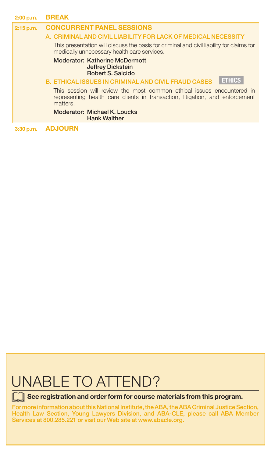| 2:00 p.m.                                                                                                                                                                                                | <b>BREAK</b>                                                                                                                                                       |  |  |                                                                                        |
|----------------------------------------------------------------------------------------------------------------------------------------------------------------------------------------------------------|--------------------------------------------------------------------------------------------------------------------------------------------------------------------|--|--|----------------------------------------------------------------------------------------|
| <b>CONCURRENT PANEL SESSIONS</b><br>2:15 p.m.                                                                                                                                                            |                                                                                                                                                                    |  |  |                                                                                        |
| A. CRIMINAL AND CIVIL LIABILITY FOR LACK OF MEDICAL NECESSITY<br>This presentation will discuss the basis for criminal and civil liability for claims for<br>medically unnecessary health care services. |                                                                                                                                                                    |  |  |                                                                                        |
|                                                                                                                                                                                                          |                                                                                                                                                                    |  |  | <b>Moderator: Katherine McDermott</b><br><b>Jeffrey Dickstein</b><br>Robert S. Salcido |
|                                                                                                                                                                                                          | <b>ETHICS</b><br><b>B. ETHICAL ISSUES IN CRIMINAL AND CIVIL FRAUD CASES</b>                                                                                        |  |  |                                                                                        |
|                                                                                                                                                                                                          | This session will review the most common ethical issues encountered in<br>representing health care clients in transaction, litigation, and enforcement<br>matters. |  |  |                                                                                        |
|                                                                                                                                                                                                          | <b>Moderator: Michael K. Loucks</b><br><b>Hank Walther</b>                                                                                                         |  |  |                                                                                        |
| 3:30 p.m.                                                                                                                                                                                                | ADJOURN                                                                                                                                                            |  |  |                                                                                        |

## UNABLE TO ATTEND?

**See registration and order form for course materials from this program.** 

For more information about this National Institute, the ABA, the ABA Criminal Justice Section, Health Law Section, Young Lawyers Division, and ABA-CLE, please call ABA Member Services at 800.285.221 or visit our Web site at www.abacle.org.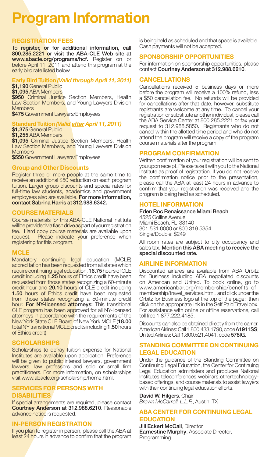## **Program Information**

#### **REGISTRATION FEES**

To register, or for additional information, call 800.285.2221 or visit the ABA-CLE Web site at www.abacle.org/programs/hcf. Register on or before April 11, 2011 and attend this program at the early bird rate listed below

#### **Early Bird Tuition** *(Valid through April 11, 2011)*

\$1,190 General Public \$1,095 ABA Members \$950 Criminal Justice Section Members, Health Law Section Members, and Young Lawyers Division **Members** \$475 Government Lawyers/Employees

#### **Standard Tuition** *(Valid after April 11, 2011)*

\$1,375 General Public

\$1,255 ABA Members \$1,095 Criminal Justice Section Members, Health Law Section Members, and Young Lawyers Division **Members** 

\$550 Government Lawyers/Employees

#### **Group and Other Discounts**

Register three or more people at the same time to receive an additional \$50 reduction on each program tuition. Larger group discounts and special rates for full-time law students, academics and government employees also are available. For more information, contact Sabrina Harris at 312.988.6342.

#### **COuRSE MATERIALS**

Course materials for this ABA-CLE National Institute will be provided via flash drive as part of your registration fee. Hard copy course materials are available upon request. Please indicate your preference when registering for this program.

#### **MCLE**

Mandatory continuing legal education (MCLE) accreditation has been requested from all states which require continuing legal education. 16.75 hours of CLE credit including 1.25 hours of Ethics credit have been requested from those states recognizing a 60-minute credit hour and 20.10 hours of CLE credit including **1.50** hours of Ethics credit have been requested from those states recognizing a 50-minute credit hour. For NY-licensed attorneys: This transitional CLE program has been approved for all NY-licensed attorneys in accordance with the requirements of the New York State CLE Board of New York MCLE (18.00 total NY transitional MCLE credits including 1.50 hours of Ethics credit).

#### **SCHOLARSHIPS**

Scholarships to defray tuition expense for National Institutes are available upon application. Preference will be given to public interest lawyers, government lawyers, law professors and solo or small firm practitioners. For more information, on scholarships visit www.abacle.org/scholarship/home.html.

#### **SERVICES FOR PERSONS wITH DISABILITIES**

If special arrangements are required, please contact Courtney Anderson at 312.988.6210. Reasonable advance notice is requested.

#### **IN-PERSON REGISTRATION**

If you plan to register in person, please call the ABA at least 24 hours in advance to confirm that the program is being held as scheduled and that space is available. Cash payments will not be accepted.

#### **SPONSORSHIP OPPORTuNITIES**

For information on sponsorship opportunities, please contact Courtney Anderson at 312.988.6210.

#### **CANCELLATIONS**

Cancellations received 5 business days or more before the program will receive a 100% refund, less a \$50 cancellation fee. No refunds will be provided for cancellations after that date; however, substitute registrants are welcome at any time. To cancel your registration or substitute another individual, please call the ABA Service Center at 800.285.2221 or fax your request to 312.988.5850. Registrants who do not cancel within the allotted time period and who do not attend the program will receive a copy of the program course materials after the program.

#### **PROGRAM CONFIRMATION**

Written confirmation of your registration will be sent to you upon receipt. Please take it with you to the National Institute as proof of registration. If you do not receive the confirmation notice prior to the presentation, please call the ABA at least 24 hours in advance to confirm that your registration was received and the program is being held as scheduled.

#### **HOTEL INFORMATION**

#### Eden Roc Renaissance Miami Beach

4525 Collins Avenue Miami Beach, FL 33140 301.531.0000 or 800.319.5354 Single/Double: \$249

All room rates are subject to city occupancy and sales tax. Mention this ABA meeting to receive the special discounted rate.

#### **AIRLINE INFORMATION**

Discounted airfares are available from ABA Orbitz for Business including ABA negotiated discounts on American and United. To book online, go to www.americanbar.org/membership/benefits\_of\_ membership/travel\_services.html, and click under the Orbitz for Business logo at the top of the page; then click on the appropriate link in the Self Paid Travel box. For assistance with online or offline reservations, call toll free 1.877.222.4185.

Discounts can also be obtained directly from the carrier. American Airlines: Call 1.800.433.1790, code **A1911SS**; United Airlines: Call 1.800.521.4041, code 578IG.

#### **STANDING COMMITTEE ON CONTINuING LEGAL EDuCATION**

Under the guidance of the Standing Committee on Continuing Legal Education, the Center for Continuing Legal Education administers and produces National Institutes, teleconferences, webinars, other technologybased offerings, and course materials to assist lawyers with their continuing legal education efforts.

David W. Hilgers, Chair *Brown McCarroll, L.L.P.*, Austin, TX

#### **ABA CENTER FOR CONTINuING LEGAL EDuCATION**

**Jill Eckert McCall, Director Earnestine Murphy, Associate Director,** Programming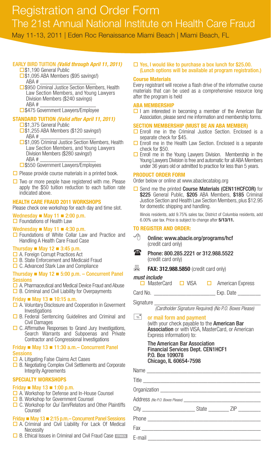### Registration and Order Form The 21st Annual National Institute on Health Care Fraud

May 11-13, 2011 | Eden Roc Renaissance Miami Beach | Miami Beach, FL

#### Early Bird TuiTion *(Valid through April 11, 2011)*

- □\$1,190 General Public
- □\$1,095 ABA Members (\$95 savings!) ABA # \_\_\_\_\_\_\_\_\_\_\_\_\_\_\_\_\_\_\_\_
- □ \$950 Criminal Justice Section Members, Health Law Section Members, and Young Lawyers Division Members (\$240 savings) ABA # \_\_\_\_\_\_\_\_\_\_\_\_\_\_\_\_\_\_\_\_

□ \$475 Government Lawyers/Employee

#### **STandard TuITIon** *(Valid after April 11, 2011)*

- □\$1,375 General Public
- $\square$ \$1,255 ABA Members (\$120 savings!) ABA # \_\_\_\_\_\_\_\_\_\_\_\_\_\_\_\_\_\_\_\_
- □\$1,095 Criminal Justice Section Members, Health Law Section Members, and Young Lawyers Division Members (\$280 savings!) ABA # \_\_\_\_\_\_\_\_\_\_\_\_\_\_\_\_\_\_\_\_
- □ \$550 Government Lawyers/Employees
- $\Box$  Please provide course materials in a printed book.
- $\Box$  Two or more people have registered with me. Please apply the \$50 tuition reduction to each tuition rate indicated above.

#### **HEaLTH CarE Fraud 2011 WorKSHoPS**

Please check one workshop for each day and time slot.

#### Wednesday  $\blacksquare$  May 11  $\blacksquare$  2:00 p.m.

**□** Foundations of Health Law

#### Wednesday  $\blacksquare$  May 11  $\blacksquare$  4:30 p.m.

**□** Foundations of White Collar Law and Practice and Handling A Health Care Fraud Case

#### Thursday  $\blacksquare$  May 12  $\blacksquare$  3:45 p.m.

- □ A. Foreign Corrupt Practices Act
- **□** B. State Enforcement and Medicaid Fraud
- $\Box$  C. Advanced Stark Law and Compliance

#### Thursday  $\blacksquare$  May 12  $\blacksquare$  5:00 p.m. – Concurrent Panel **Sessions**

- A. Pharmaceutical and Medical Device Fraud and Abuse
- $\Box$  B. Criminal and Civil Liability for Overpayments

#### Friday  $\blacksquare$  May 13  $\blacksquare$  10:15 a.m.

- **□ A. Voluntary Disclosure and Cooperation in Goverment** Investigations
- $\Box$  B. Federal Sentencing Guidelines and Criminal and Civil Damages
- $\Box$  C. Affirmative Responses to Grand Jury Investigations, Search Warrants and Subpoenas and Private Contractor and Congressional Investigations

#### Friday  $\blacksquare$  May 13  $\blacksquare$  11:30 a.m. – Concurrent Panel **Sessions**

- **□** A. Litigating False Claims Act Cases
- **□** B. Negotiating Complex Civil Settlements and Corporate Integrity Agreements

#### **SPECIaLTY WorKSHoPS**

#### Friday  $M = May 13 = 1:00 p.m.$

- **□** A. Workshop for Defense and In-House Counsel
- **□** B. Workshop for Government Counsel
- C. Workshop for *Qui Tam*/Relators and Other Plaintiffs Counsel

#### Friday  $\blacksquare$  May 13  $\blacksquare$  2:15 p.m. – Concurrent Panel Sessions

- **□** A. Criminal and Civil Liability For Lack Of Medical **Necessity**
- **□ B. Ethical Issues in Criminal and Civil Fraud Case**

#### $\Box$  Yes, I would like to purchase a box lunch for \$25.00. (lunch options will be available at program registration.)

#### **Course Materials**

Every registrant will receive a flash drive of the informative course materials that can be used as a comprehensive resource long after the program is held

#### **aBa MEMBErSHIP**

 $\Box$  I am interested in becoming a member of the American Bar Association, please send me information and membership forms.

#### **SECTIon MEMBErSHIP (MuST BE an aBa MEMBEr)**

- $\square$  Enroll me in the Criminal Justice Section. Enclosed is a separate check for \$45.
- $\Box$  Enroll me in the Health Law Section. Enclosed is a separate check for \$50.
- **Enroll me in the Young Lawyers Division.** Membership in the Young Lawyers Division is free and automatic for all ABA Members under 36 years old or admitted to practice for less than 5 years.

#### **ProduCT ordEr ForM**

Order below or online at www.abaclecatalog.org

□ Send me the printed Course Materials (CEN11HCFCOR) for \$225 General Public, \$205 ABA Members, \$185 Criminal Justice Section and Health Law Section Members, plus \$12.95 for domestic shipping and handling.

Illinois residents, add 9.75% sales tax; District of Columbia residents, add 6.00% use tax. Price is subject to change after **5/13/11.** 

#### **To rEGISTEr and ordEr:**

- $\Theta$  Online: www.abacle.org/programs/hcf (credit card only)
- **128** Phone: 800.285.2221 or 312.988.5522 (credit card only)

**昌 FAX: 312.988.5850** (credit card only)

*must include* **□ VISA □ American Express** 

Card No. **Exp.** Date

#### Signature

*(Cardholder Signature Required) (No P.O. Boxes Please)*

### $\equiv$  or mail form and payment (with your check payable to the American Bar

Association or with VISA, MasterCard, or American Express information) to:

#### **The American Bar Association** Financial Services dept. CEn1HCF1 P.o. Box 109078 Chicago, il 60654-7598

| u uw          |                |  |  |
|---------------|----------------|--|--|
|               |                |  |  |
|               |                |  |  |
| htiffs        |                |  |  |
|               | City State ZIP |  |  |
| ions<br>dical |                |  |  |
|               |                |  |  |
| <b>ETHICS</b> |                |  |  |
|               |                |  |  |